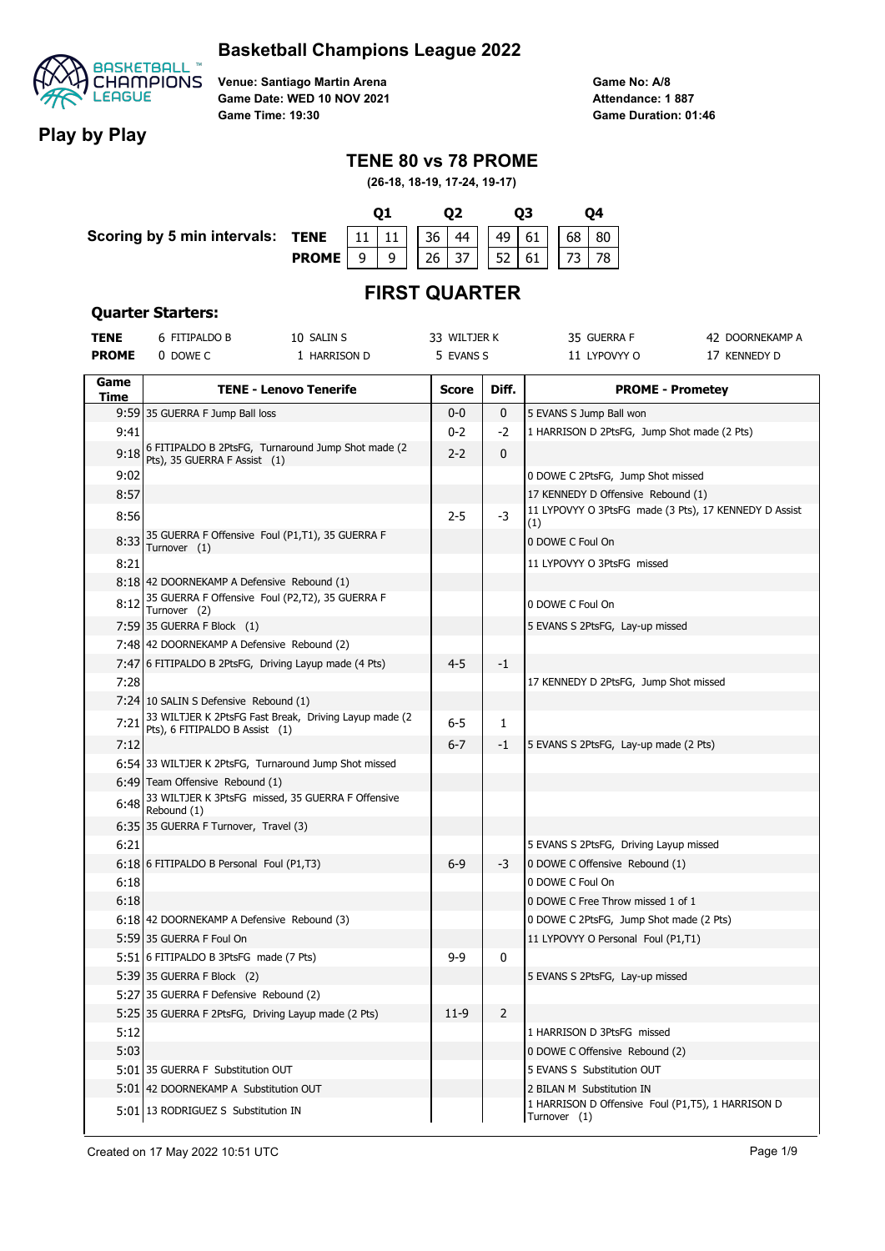

**Venue: Santiago Martin Arena Game Date: WED 10 NOV 2021 Game Time: 19:30**

**Game No: A/8 Game Duration: 01:46 Attendance: 1 887**

## **Play by Play**

### **TENE 80 vs 78 PROME**

**(26-18, 18-19, 17-24, 19-17)**



# **FIRST QUARTER**

#### **Quarter Starters:**

| TENE         | 6 FITIPALDO B                                                   | 10 SALIN S                                            | 33 WILTJER K |                | 35 GUERRA F                                                                    | 42 DOORNEKAMP A |
|--------------|-----------------------------------------------------------------|-------------------------------------------------------|--------------|----------------|--------------------------------------------------------------------------------|-----------------|
| <b>PROME</b> | 0 DOWE C                                                        | 1 HARRISON D                                          | 5 EVANS S    |                | 11 LYPOVYY O                                                                   | 17 KENNEDY D    |
| Game         |                                                                 |                                                       |              |                |                                                                                |                 |
| Time         |                                                                 | <b>TENE - Lenovo Tenerife</b>                         | <b>Score</b> | Diff.          | <b>PROME - Prometey</b>                                                        |                 |
|              | 9:59 35 GUERRA F Jump Ball loss                                 |                                                       | $0-0$        | $\mathbf 0$    | 5 EVANS S Jump Ball won                                                        |                 |
| 9:41         |                                                                 |                                                       | $0 - 2$      | -2             | 1 HARRISON D 2PtsFG, Jump Shot made (2 Pts)                                    |                 |
| 9:18         | Pts), 35 GUERRA F Assist (1)                                    | 6 FITIPALDO B 2PtsFG, Turnaround Jump Shot made (2)   | $2 - 2$      | 0              |                                                                                |                 |
| 9:02         |                                                                 |                                                       |              |                | 0 DOWE C 2PtsFG, Jump Shot missed                                              |                 |
| 8:57         |                                                                 |                                                       |              |                | 17 KENNEDY D Offensive Rebound (1)                                             |                 |
| 8:56         |                                                                 |                                                       | $2 - 5$      | -3             | 11 LYPOVYY O 3PtsFG made (3 Pts), 17 KENNEDY D Assist<br>(1)                   |                 |
| 8:33         | 35 GUERRA F Offensive Foul (P1,T1), 35 GUERRA F<br>Turnover (1) |                                                       |              |                | 0 DOWE C Foul On                                                               |                 |
| 8:21         |                                                                 |                                                       |              |                | 11 LYPOVYY O 3PtsFG missed                                                     |                 |
|              | 8:18 42 DOORNEKAMP A Defensive Rebound (1)                      |                                                       |              |                |                                                                                |                 |
| 8:12         | 35 GUERRA F Offensive Foul (P2,T2), 35 GUERRA F<br>Turnover (2) |                                                       |              |                | 0 DOWE C Foul On                                                               |                 |
|              | 7:59 35 GUERRA F Block (1)                                      |                                                       |              |                | 5 EVANS S 2PtsFG, Lay-up missed                                                |                 |
|              | 7:48 42 DOORNEKAMP A Defensive Rebound (2)                      |                                                       |              |                |                                                                                |                 |
|              | 7:47 6 FITIPALDO B 2PtsFG, Driving Layup made (4 Pts)           |                                                       | $4 - 5$      | -1             |                                                                                |                 |
| 7:28         |                                                                 |                                                       |              |                | 17 KENNEDY D 2PtsFG, Jump Shot missed                                          |                 |
|              | 7:24 10 SALIN S Defensive Rebound (1)                           |                                                       |              |                |                                                                                |                 |
| 7:21         | Pts), 6 FITIPALDO B Assist (1)                                  | 33 WILTJER K 2PtsFG Fast Break, Driving Layup made (2 | 6-5          | 1              |                                                                                |                 |
| 7:12         |                                                                 |                                                       | $6 - 7$      | -1             | 5 EVANS S 2PtsFG, Lay-up made (2 Pts)                                          |                 |
|              | 6:54 33 WILTJER K 2PtsFG, Turnaround Jump Shot missed           |                                                       |              |                |                                                                                |                 |
|              | 6:49 Team Offensive Rebound (1)                                 |                                                       |              |                |                                                                                |                 |
| 6:48         | Rebound (1)                                                     | 33 WILTJER K 3PtsFG missed, 35 GUERRA F Offensive     |              |                |                                                                                |                 |
|              | 6:35 35 GUERRA F Turnover, Travel (3)                           |                                                       |              |                |                                                                                |                 |
| 6:21         |                                                                 |                                                       |              |                | 5 EVANS S 2PtsFG, Driving Layup missed                                         |                 |
|              | 6:18 6 FITIPALDO B Personal Foul (P1,T3)                        |                                                       | $6-9$        | -3             | 0 DOWE C Offensive Rebound (1)                                                 |                 |
| 6:18         |                                                                 |                                                       |              |                | 0 DOWE C Foul On                                                               |                 |
| 6:18         |                                                                 |                                                       |              |                | 0 DOWE C Free Throw missed 1 of 1                                              |                 |
|              | 6:18 42 DOORNEKAMP A Defensive Rebound (3)                      |                                                       |              |                | 0 DOWE C 2PtsFG, Jump Shot made (2 Pts)                                        |                 |
|              | 5:59 35 GUERRA F Foul On                                        |                                                       |              |                | 11 LYPOVYY O Personal Foul (P1,T1)                                             |                 |
|              | 5:51 6 FITIPALDO B 3PtsFG made (7 Pts)                          |                                                       | $9 - 9$      | 0              |                                                                                |                 |
|              | 5:39 35 GUERRA F Block (2)                                      |                                                       |              |                | 5 EVANS S 2PtsFG, Lay-up missed                                                |                 |
|              | 5:27 35 GUERRA F Defensive Rebound (2)                          |                                                       |              |                |                                                                                |                 |
|              | 5:25 35 GUERRA F 2PtsFG, Driving Layup made (2 Pts)             |                                                       | $11-9$       | $\overline{2}$ |                                                                                |                 |
| 5:12         |                                                                 |                                                       |              |                | 1 HARRISON D 3PtsFG missed                                                     |                 |
| 5:03         |                                                                 |                                                       |              |                | 0 DOWE C Offensive Rebound (2)                                                 |                 |
|              | 5:01 35 GUERRA F Substitution OUT                               |                                                       |              |                | 5 EVANS S Substitution OUT                                                     |                 |
|              | 5:01 42 DOORNEKAMP A Substitution OUT                           |                                                       |              |                | 2 BILAN M Substitution IN<br>1 HARRISON D Offensive Foul (P1,T5), 1 HARRISON D |                 |
|              | 5:01 13 RODRIGUEZ S Substitution IN                             |                                                       |              |                | Turnover (1)                                                                   |                 |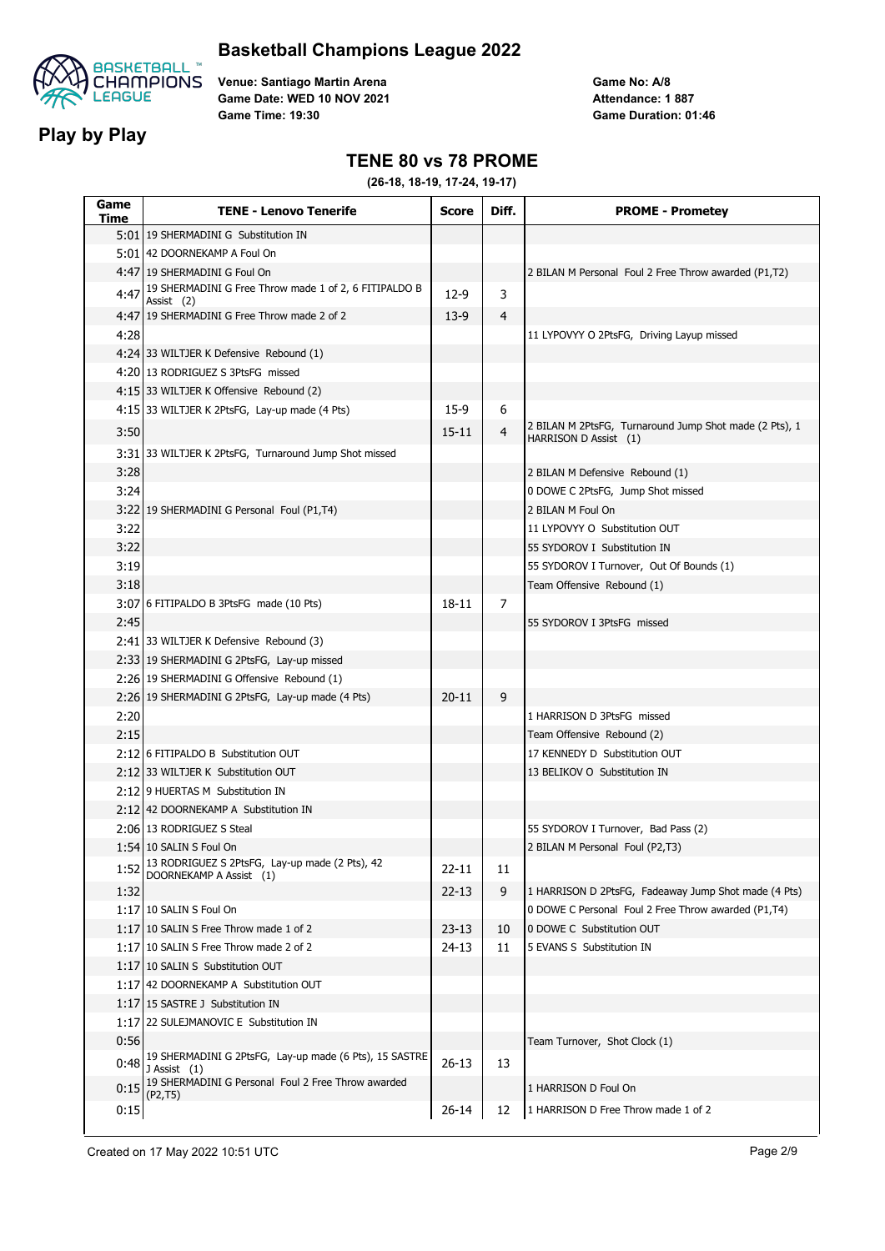



**Play by Play**

**Venue: Santiago Martin Arena Game Date: WED 10 NOV 2021 Game Time: 19:30**

**Game No: A/8 Game Duration: 01:46 Attendance: 1 887**

### **TENE 80 vs 78 PROME**

| Game<br>Time | <b>TENE - Lenovo Tenerife</b>                                                  | <b>Score</b> | Diff.          | <b>PROME - Prometey</b>                                                         |
|--------------|--------------------------------------------------------------------------------|--------------|----------------|---------------------------------------------------------------------------------|
|              | 5:01 19 SHERMADINI G Substitution IN                                           |              |                |                                                                                 |
|              | 5:01 42 DOORNEKAMP A Foul On                                                   |              |                |                                                                                 |
|              | 4:47 19 SHERMADINI G Foul On                                                   |              |                | 2 BILAN M Personal Foul 2 Free Throw awarded (P1,T2)                            |
| 4:47         | 19 SHERMADINI G Free Throw made 1 of 2, 6 FITIPALDO B<br>Assist (2)            | $12-9$       | 3              |                                                                                 |
|              | 4:47 19 SHERMADINI G Free Throw made 2 of 2                                    | $13-9$       | 4              |                                                                                 |
| 4:28         |                                                                                |              |                | 11 LYPOVYY O 2PtsFG, Driving Layup missed                                       |
|              | 4:24 33 WILTJER K Defensive Rebound (1)                                        |              |                |                                                                                 |
|              | 4:20 13 RODRIGUEZ S 3PtsFG missed                                              |              |                |                                                                                 |
|              | 4:15 33 WILTJER K Offensive Rebound (2)                                        |              |                |                                                                                 |
|              | 4:15 33 WILTJER K 2PtsFG, Lay-up made (4 Pts)                                  | $15-9$       | 6              |                                                                                 |
| 3:50         |                                                                                | $15 - 11$    | $\overline{4}$ | 2 BILAN M 2PtsFG, Turnaround Jump Shot made (2 Pts), 1<br>HARRISON D Assist (1) |
|              | 3:31 33 WILTJER K 2PtsFG, Turnaround Jump Shot missed                          |              |                |                                                                                 |
| 3:28         |                                                                                |              |                | 2 BILAN M Defensive Rebound (1)                                                 |
| 3:24         |                                                                                |              |                | 0 DOWE C 2PtsFG, Jump Shot missed                                               |
|              | 3:22 19 SHERMADINI G Personal Foul (P1,T4)                                     |              |                | 2 BILAN M Foul On                                                               |
| 3:22         |                                                                                |              |                | 11 LYPOVYY O Substitution OUT                                                   |
| 3:22         |                                                                                |              |                | 55 SYDOROV I Substitution IN                                                    |
| 3:19         |                                                                                |              |                | 55 SYDOROV I Turnover, Out Of Bounds (1)                                        |
| 3:18         |                                                                                |              |                | Team Offensive Rebound (1)                                                      |
|              | 3:07 6 FITIPALDO B 3PtsFG made (10 Pts)                                        | 18-11        | 7              |                                                                                 |
| 2:45         |                                                                                |              |                | 55 SYDOROV I 3PtsFG missed                                                      |
|              | 2:41 33 WILTJER K Defensive Rebound (3)                                        |              |                |                                                                                 |
|              | 2:33 19 SHERMADINI G 2PtsFG, Lay-up missed                                     |              |                |                                                                                 |
|              | 2:26 19 SHERMADINI G Offensive Rebound (1)                                     |              |                |                                                                                 |
|              | 2:26 19 SHERMADINI G 2PtsFG, Lay-up made (4 Pts)                               | $20 - 11$    | 9              |                                                                                 |
| 2:20         |                                                                                |              |                | 1 HARRISON D 3PtsFG missed                                                      |
| 2:15         |                                                                                |              |                | Team Offensive Rebound (2)                                                      |
|              | 2:12 6 FITIPALDO B Substitution OUT                                            |              |                | 17 KENNEDY D Substitution OUT                                                   |
|              | 2:12 33 WILTJER K Substitution OUT                                             |              |                | 13 BELIKOV O Substitution IN                                                    |
|              | 2:12 9 HUERTAS M Substitution IN                                               |              |                |                                                                                 |
|              | 2:12 42 DOORNEKAMP A Substitution IN                                           |              |                |                                                                                 |
|              | 2:06 13 RODRIGUEZ S Steal                                                      |              |                | 55 SYDOROV I Turnover, Bad Pass (2)                                             |
|              | 1:54 10 SALIN S Foul On                                                        |              |                | 2 BILAN M Personal Foul (P2,T3)                                                 |
|              | 1:52 13 RODRIGUEZ S 2PtsFG, Lay-up made (2 Pts), 42<br>DOORNEKAMP A Assist (1) | $22 - 11$    | 11             |                                                                                 |
| 1:32         |                                                                                | $22 - 13$    | 9              | 1 HARRISON D 2PtsFG, Fadeaway Jump Shot made (4 Pts)                            |
|              | 1:17 10 SALIN S Foul On                                                        |              |                | 0 DOWE C Personal Foul 2 Free Throw awarded (P1,T4)                             |
|              | 1:17 10 SALIN S Free Throw made 1 of 2                                         | $23 - 13$    | 10             | 0 DOWE C Substitution OUT                                                       |
|              | 1:17 10 SALIN S Free Throw made 2 of 2                                         | 24-13        | 11             | 5 EVANS S Substitution IN                                                       |
|              | 1:17 10 SALIN S Substitution OUT                                               |              |                |                                                                                 |
|              | 1:17 42 DOORNEKAMP A Substitution OUT                                          |              |                |                                                                                 |
|              | 1:17 15 SASTRE J Substitution IN                                               |              |                |                                                                                 |
|              | 1:17 22 SULEJMANOVIC E Substitution IN                                         |              |                |                                                                                 |
| 0:56         |                                                                                |              |                | Team Turnover, Shot Clock (1)                                                   |
| 0:48         | 19 SHERMADINI G 2PtsFG, Lay-up made (6 Pts), 15 SASTRE<br>J Assist (1)         | $26 - 13$    | 13             |                                                                                 |
|              | $0:15$ 19 SHERMADINI G Personal Foul 2 Free Throw awarded<br>(P2, T5)          |              |                | 1 HARRISON D Foul On                                                            |
| 0:15         |                                                                                | 26-14        | 12             | 1 HARRISON D Free Throw made 1 of 2                                             |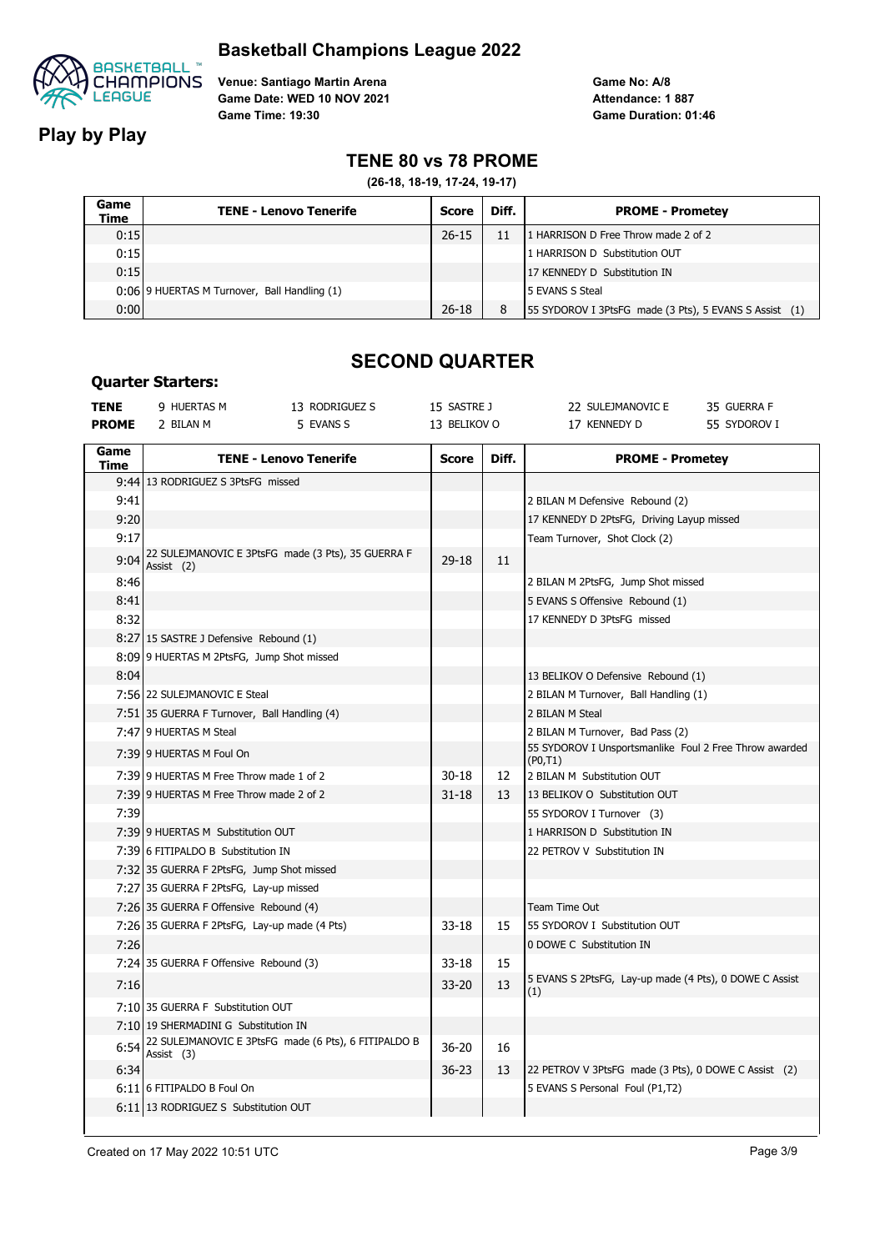

**Play by Play**

**Quarter Starters:**

**Venue: Santiago Martin Arena Game Date: WED 10 NOV 2021 Game Time: 19:30**

**Game No: A/8 Game Duration: 01:46 Attendance: 1 887**

### **TENE 80 vs 78 PROME**

**(26-18, 18-19, 17-24, 19-17)**

| Game<br>Time | <b>TENE - Lenovo Tenerife</b>                | Score     | Diff. | <b>PROME - Prometey</b>                                |
|--------------|----------------------------------------------|-----------|-------|--------------------------------------------------------|
| 0:15         |                                              | $26 - 15$ | 11    | 1 HARRISON D Free Throw made 2 of 2                    |
| 0:15         |                                              |           |       | 1 HARRISON D Substitution OUT                          |
| 0:15         |                                              |           |       | 17 KENNEDY D Substitution IN                           |
|              | 0:06 9 HUERTAS M Turnover, Ball Handling (1) |           |       | 5 EVANS S Steal                                        |
| 0:00         |                                              | $26 - 18$ | 8     | 55 SYDOROV I 3PtsFG made (3 Pts), 5 EVANS S Assist (1) |

## **SECOND QUARTER**

| <b>TENE</b><br><b>PROME</b> | 9 HUERTAS M<br>2 BILAN M                     | 13 RODRIGUEZ S<br>5 EVANS S                          | 15 SASTRE J<br>13 BELIKOV O |       | 22 SULEJMANOVIC E<br>17 KENNEDY D                                  | 35 GUERRA F<br>55 SYDOROV I |
|-----------------------------|----------------------------------------------|------------------------------------------------------|-----------------------------|-------|--------------------------------------------------------------------|-----------------------------|
|                             |                                              |                                                      |                             |       |                                                                    |                             |
| Game<br>Time                |                                              | <b>TENE - Lenovo Tenerife</b>                        | <b>Score</b>                | Diff. | <b>PROME - Prometey</b>                                            |                             |
|                             | 9:44 13 RODRIGUEZ S 3PtsFG missed            |                                                      |                             |       |                                                                    |                             |
| 9:41                        |                                              |                                                      |                             |       | 2 BILAN M Defensive Rebound (2)                                    |                             |
| 9:20                        |                                              |                                                      |                             |       | 17 KENNEDY D 2PtsFG, Driving Layup missed                          |                             |
| 9:17                        |                                              |                                                      |                             |       | Team Turnover, Shot Clock (2)                                      |                             |
| 9:04                        | Assist (2)                                   | 22 SULEJMANOVIC E 3PtsFG made (3 Pts), 35 GUERRA F   | $29-18$                     | 11    |                                                                    |                             |
| 8:46                        |                                              |                                                      |                             |       | 2 BILAN M 2PtsFG, Jump Shot missed                                 |                             |
| 8:41                        |                                              |                                                      |                             |       | 5 EVANS S Offensive Rebound (1)                                    |                             |
| 8:32                        |                                              |                                                      |                             |       | 17 KENNEDY D 3PtsFG missed                                         |                             |
|                             | 8:27 15 SASTRE J Defensive Rebound (1)       |                                                      |                             |       |                                                                    |                             |
|                             | 8:09 9 HUERTAS M 2PtsFG, Jump Shot missed    |                                                      |                             |       |                                                                    |                             |
| 8:04                        |                                              |                                                      |                             |       | 13 BELIKOV O Defensive Rebound (1)                                 |                             |
|                             | 7:56 22 SULEJMANOVIC E Steal                 |                                                      |                             |       | 2 BILAN M Turnover, Ball Handling (1)                              |                             |
|                             | 7:51 35 GUERRA F Turnover, Ball Handling (4) |                                                      |                             |       | 2 BILAN M Steal                                                    |                             |
|                             | 7:47 9 HUERTAS M Steal                       |                                                      |                             |       | 2 BILAN M Turnover, Bad Pass (2)                                   |                             |
|                             | 7:39 9 HUERTAS M Foul On                     |                                                      |                             |       | 55 SYDOROV I Unsportsmanlike Foul 2 Free Throw awarded<br>(PO, T1) |                             |
|                             | 7:39 9 HUERTAS M Free Throw made 1 of 2      |                                                      | $30 - 18$                   | 12    | 2 BILAN M Substitution OUT                                         |                             |
|                             | 7:39 9 HUERTAS M Free Throw made 2 of 2      |                                                      | $31 - 18$                   | 13    | 13 BELIKOV O Substitution OUT                                      |                             |
| 7:39                        |                                              |                                                      |                             |       | 55 SYDOROV I Turnover (3)                                          |                             |
|                             | 7:39 9 HUERTAS M Substitution OUT            |                                                      |                             |       | 1 HARRISON D Substitution IN                                       |                             |
|                             | 7:39 6 FITIPALDO B Substitution IN           |                                                      |                             |       | 22 PETROV V Substitution IN                                        |                             |
|                             | 7:32 35 GUERRA F 2PtsFG, Jump Shot missed    |                                                      |                             |       |                                                                    |                             |
|                             | 7:27 35 GUERRA F 2PtsFG, Lay-up missed       |                                                      |                             |       |                                                                    |                             |
|                             | 7:26 35 GUERRA F Offensive Rebound (4)       |                                                      |                             |       | Team Time Out                                                      |                             |
|                             | 7:26 35 GUERRA F 2PtsFG, Lay-up made (4 Pts) |                                                      | $33 - 18$                   | 15    | 55 SYDOROV I Substitution OUT                                      |                             |
| 7:26                        |                                              |                                                      |                             |       | 0 DOWE C Substitution IN                                           |                             |
|                             | 7:24 35 GUERRA F Offensive Rebound (3)       |                                                      | $33 - 18$                   | 15    |                                                                    |                             |
| 7:16                        |                                              |                                                      | $33 - 20$                   | 13    | 5 EVANS S 2PtsFG, Lay-up made (4 Pts), 0 DOWE C Assist<br>(1)      |                             |
|                             | 7:10 35 GUERRA F Substitution OUT            |                                                      |                             |       |                                                                    |                             |
|                             | 7:10 19 SHERMADINI G Substitution IN         |                                                      |                             |       |                                                                    |                             |
| 6:54                        | Assist (3)                                   | 22 SULEJMANOVIC E 3PtsFG made (6 Pts), 6 FITIPALDO B | 36-20                       | 16    |                                                                    |                             |
| 6:34                        |                                              |                                                      | $36 - 23$                   | 13    | 22 PETROV V 3PtsFG made (3 Pts), 0 DOWE C Assist (2)               |                             |
|                             | 6:11 6 FITIPALDO B Foul On                   |                                                      |                             |       | 5 EVANS S Personal Foul (P1,T2)                                    |                             |
|                             | 6:11 13 RODRIGUEZ S Substitution OUT         |                                                      |                             |       |                                                                    |                             |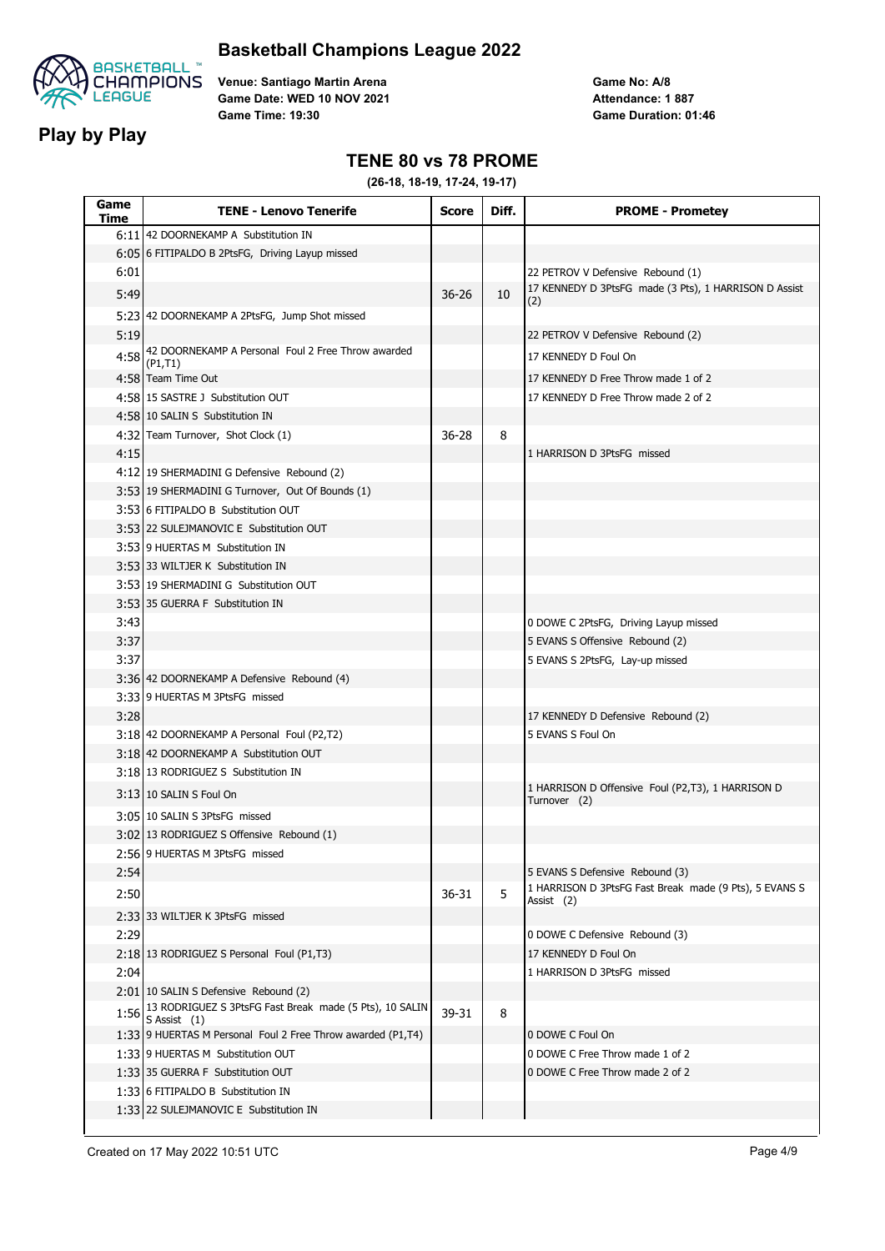



**Play by Play**

**Venue: Santiago Martin Arena Game Date: WED 10 NOV 2021 Game Time: 19:30**

**Game No: A/8 Game Duration: 01:46 Attendance: 1 887**

### **TENE 80 vs 78 PROME**

| 6:11 42 DOORNEKAMP A Substitution IN<br>6:05 6 FITIPALDO B 2PtsFG, Driving Layup missed<br>6:01<br>22 PETROV V Defensive Rebound (1)<br>17 KENNEDY D 3PtsFG made (3 Pts), 1 HARRISON D Assist<br>5:49<br>$36 - 26$<br>10<br>(2)<br>5:23 42 DOORNEKAMP A 2PtsFG, Jump Shot missed<br>5:19<br>22 PETROV V Defensive Rebound (2)<br>42 DOORNEKAMP A Personal Foul 2 Free Throw awarded<br>4:58<br>17 KENNEDY D Foul On<br>(P1, T1)<br>4:58 Team Time Out<br>17 KENNEDY D Free Throw made 1 of 2<br>4:58 15 SASTRE J Substitution OUT<br>17 KENNEDY D Free Throw made 2 of 2<br>4:58 10 SALIN S Substitution IN<br>4:32 Team Turnover, Shot Clock (1)<br>36-28<br>8<br>4:15<br>1 HARRISON D 3PtsFG missed<br>4:12 19 SHERMADINI G Defensive Rebound (2)<br>3:53 19 SHERMADINI G Turnover, Out Of Bounds (1)<br>3:53 6 FITIPALDO B Substitution OUT<br>3:53 22 SULEJMANOVIC E Substitution OUT<br>3:53 9 HUERTAS M Substitution IN<br>3:53 33 WILTJER K Substitution IN<br>3:53 19 SHERMADINI G Substitution OUT<br>3:53 35 GUERRA F Substitution IN<br>3:43<br>0 DOWE C 2PtsFG, Driving Layup missed<br>3:37<br>5 EVANS S Offensive Rebound (2)<br>3:37<br>5 EVANS S 2PtsFG, Lay-up missed<br>3:36 42 DOORNEKAMP A Defensive Rebound (4)<br>3:33 9 HUERTAS M 3PtsFG missed<br>3:28<br>17 KENNEDY D Defensive Rebound (2)<br>5 EVANS S Foul On<br>3:18 42 DOORNEKAMP A Personal Foul (P2,T2)<br>3:18 42 DOORNEKAMP A Substitution OUT<br>3:18 13 RODRIGUEZ S Substitution IN<br>1 HARRISON D Offensive Foul (P2,T3), 1 HARRISON D<br>3:13 10 SALIN S Foul On<br>Turnover (2)<br>3:05 10 SALIN S 3PtsFG missed<br>3:02 13 RODRIGUEZ S Offensive Rebound (1)<br>2:56 9 HUERTAS M 3PtsFG missed<br>2:54<br>5 EVANS S Defensive Rebound (3)<br>1 HARRISON D 3PtsFG Fast Break made (9 Pts), 5 EVANS S<br>5<br>2:50<br>36-31<br>Assist (2)<br>2:33 33 WILTJER K 3PtsFG missed<br>2:29<br>0 DOWE C Defensive Rebound (3)<br>2:18 13 RODRIGUEZ S Personal Foul (P1,T3)<br>17 KENNEDY D Foul On<br>2:04<br>1 HARRISON D 3PtsFG missed<br>2:01 10 SALIN S Defensive Rebound (2)<br>13 RODRIGUEZ S 3PtsFG Fast Break made (5 Pts), 10 SALIN<br>1:56<br>39-31<br>8<br>S Assist $(1)$<br>1:33 9 HUERTAS M Personal Foul 2 Free Throw awarded (P1,T4)<br>0 DOWE C Foul On<br>0 DOWE C Free Throw made 1 of 2<br>1:33 9 HUERTAS M Substitution OUT<br>1:33 35 GUERRA F Substitution OUT<br>0 DOWE C Free Throw made 2 of 2<br>1:33 6 FITIPALDO B Substitution IN<br>1:33 22 SULEJMANOVIC E Substitution IN | Game<br>Time | <b>TENE - Lenovo Tenerife</b> | <b>Score</b> | Diff. | <b>PROME - Prometey</b> |
|-----------------------------------------------------------------------------------------------------------------------------------------------------------------------------------------------------------------------------------------------------------------------------------------------------------------------------------------------------------------------------------------------------------------------------------------------------------------------------------------------------------------------------------------------------------------------------------------------------------------------------------------------------------------------------------------------------------------------------------------------------------------------------------------------------------------------------------------------------------------------------------------------------------------------------------------------------------------------------------------------------------------------------------------------------------------------------------------------------------------------------------------------------------------------------------------------------------------------------------------------------------------------------------------------------------------------------------------------------------------------------------------------------------------------------------------------------------------------------------------------------------------------------------------------------------------------------------------------------------------------------------------------------------------------------------------------------------------------------------------------------------------------------------------------------------------------------------------------------------------------------------------------------------------------------------------------------------------------------------------------------------------------------------------------------------------------------------------------------------------------------------------------------------------------------------------------------------------------------------------------------------------------------------------------------------------------------------------------------------------------------------------------------------------------------------------------------------------------------------------|--------------|-------------------------------|--------------|-------|-------------------------|
|                                                                                                                                                                                                                                                                                                                                                                                                                                                                                                                                                                                                                                                                                                                                                                                                                                                                                                                                                                                                                                                                                                                                                                                                                                                                                                                                                                                                                                                                                                                                                                                                                                                                                                                                                                                                                                                                                                                                                                                                                                                                                                                                                                                                                                                                                                                                                                                                                                                                                         |              |                               |              |       |                         |
|                                                                                                                                                                                                                                                                                                                                                                                                                                                                                                                                                                                                                                                                                                                                                                                                                                                                                                                                                                                                                                                                                                                                                                                                                                                                                                                                                                                                                                                                                                                                                                                                                                                                                                                                                                                                                                                                                                                                                                                                                                                                                                                                                                                                                                                                                                                                                                                                                                                                                         |              |                               |              |       |                         |
|                                                                                                                                                                                                                                                                                                                                                                                                                                                                                                                                                                                                                                                                                                                                                                                                                                                                                                                                                                                                                                                                                                                                                                                                                                                                                                                                                                                                                                                                                                                                                                                                                                                                                                                                                                                                                                                                                                                                                                                                                                                                                                                                                                                                                                                                                                                                                                                                                                                                                         |              |                               |              |       |                         |
|                                                                                                                                                                                                                                                                                                                                                                                                                                                                                                                                                                                                                                                                                                                                                                                                                                                                                                                                                                                                                                                                                                                                                                                                                                                                                                                                                                                                                                                                                                                                                                                                                                                                                                                                                                                                                                                                                                                                                                                                                                                                                                                                                                                                                                                                                                                                                                                                                                                                                         |              |                               |              |       |                         |
|                                                                                                                                                                                                                                                                                                                                                                                                                                                                                                                                                                                                                                                                                                                                                                                                                                                                                                                                                                                                                                                                                                                                                                                                                                                                                                                                                                                                                                                                                                                                                                                                                                                                                                                                                                                                                                                                                                                                                                                                                                                                                                                                                                                                                                                                                                                                                                                                                                                                                         |              |                               |              |       |                         |
|                                                                                                                                                                                                                                                                                                                                                                                                                                                                                                                                                                                                                                                                                                                                                                                                                                                                                                                                                                                                                                                                                                                                                                                                                                                                                                                                                                                                                                                                                                                                                                                                                                                                                                                                                                                                                                                                                                                                                                                                                                                                                                                                                                                                                                                                                                                                                                                                                                                                                         |              |                               |              |       |                         |
|                                                                                                                                                                                                                                                                                                                                                                                                                                                                                                                                                                                                                                                                                                                                                                                                                                                                                                                                                                                                                                                                                                                                                                                                                                                                                                                                                                                                                                                                                                                                                                                                                                                                                                                                                                                                                                                                                                                                                                                                                                                                                                                                                                                                                                                                                                                                                                                                                                                                                         |              |                               |              |       |                         |
|                                                                                                                                                                                                                                                                                                                                                                                                                                                                                                                                                                                                                                                                                                                                                                                                                                                                                                                                                                                                                                                                                                                                                                                                                                                                                                                                                                                                                                                                                                                                                                                                                                                                                                                                                                                                                                                                                                                                                                                                                                                                                                                                                                                                                                                                                                                                                                                                                                                                                         |              |                               |              |       |                         |
|                                                                                                                                                                                                                                                                                                                                                                                                                                                                                                                                                                                                                                                                                                                                                                                                                                                                                                                                                                                                                                                                                                                                                                                                                                                                                                                                                                                                                                                                                                                                                                                                                                                                                                                                                                                                                                                                                                                                                                                                                                                                                                                                                                                                                                                                                                                                                                                                                                                                                         |              |                               |              |       |                         |
|                                                                                                                                                                                                                                                                                                                                                                                                                                                                                                                                                                                                                                                                                                                                                                                                                                                                                                                                                                                                                                                                                                                                                                                                                                                                                                                                                                                                                                                                                                                                                                                                                                                                                                                                                                                                                                                                                                                                                                                                                                                                                                                                                                                                                                                                                                                                                                                                                                                                                         |              |                               |              |       |                         |
|                                                                                                                                                                                                                                                                                                                                                                                                                                                                                                                                                                                                                                                                                                                                                                                                                                                                                                                                                                                                                                                                                                                                                                                                                                                                                                                                                                                                                                                                                                                                                                                                                                                                                                                                                                                                                                                                                                                                                                                                                                                                                                                                                                                                                                                                                                                                                                                                                                                                                         |              |                               |              |       |                         |
|                                                                                                                                                                                                                                                                                                                                                                                                                                                                                                                                                                                                                                                                                                                                                                                                                                                                                                                                                                                                                                                                                                                                                                                                                                                                                                                                                                                                                                                                                                                                                                                                                                                                                                                                                                                                                                                                                                                                                                                                                                                                                                                                                                                                                                                                                                                                                                                                                                                                                         |              |                               |              |       |                         |
|                                                                                                                                                                                                                                                                                                                                                                                                                                                                                                                                                                                                                                                                                                                                                                                                                                                                                                                                                                                                                                                                                                                                                                                                                                                                                                                                                                                                                                                                                                                                                                                                                                                                                                                                                                                                                                                                                                                                                                                                                                                                                                                                                                                                                                                                                                                                                                                                                                                                                         |              |                               |              |       |                         |
|                                                                                                                                                                                                                                                                                                                                                                                                                                                                                                                                                                                                                                                                                                                                                                                                                                                                                                                                                                                                                                                                                                                                                                                                                                                                                                                                                                                                                                                                                                                                                                                                                                                                                                                                                                                                                                                                                                                                                                                                                                                                                                                                                                                                                                                                                                                                                                                                                                                                                         |              |                               |              |       |                         |
|                                                                                                                                                                                                                                                                                                                                                                                                                                                                                                                                                                                                                                                                                                                                                                                                                                                                                                                                                                                                                                                                                                                                                                                                                                                                                                                                                                                                                                                                                                                                                                                                                                                                                                                                                                                                                                                                                                                                                                                                                                                                                                                                                                                                                                                                                                                                                                                                                                                                                         |              |                               |              |       |                         |
|                                                                                                                                                                                                                                                                                                                                                                                                                                                                                                                                                                                                                                                                                                                                                                                                                                                                                                                                                                                                                                                                                                                                                                                                                                                                                                                                                                                                                                                                                                                                                                                                                                                                                                                                                                                                                                                                                                                                                                                                                                                                                                                                                                                                                                                                                                                                                                                                                                                                                         |              |                               |              |       |                         |
|                                                                                                                                                                                                                                                                                                                                                                                                                                                                                                                                                                                                                                                                                                                                                                                                                                                                                                                                                                                                                                                                                                                                                                                                                                                                                                                                                                                                                                                                                                                                                                                                                                                                                                                                                                                                                                                                                                                                                                                                                                                                                                                                                                                                                                                                                                                                                                                                                                                                                         |              |                               |              |       |                         |
|                                                                                                                                                                                                                                                                                                                                                                                                                                                                                                                                                                                                                                                                                                                                                                                                                                                                                                                                                                                                                                                                                                                                                                                                                                                                                                                                                                                                                                                                                                                                                                                                                                                                                                                                                                                                                                                                                                                                                                                                                                                                                                                                                                                                                                                                                                                                                                                                                                                                                         |              |                               |              |       |                         |
|                                                                                                                                                                                                                                                                                                                                                                                                                                                                                                                                                                                                                                                                                                                                                                                                                                                                                                                                                                                                                                                                                                                                                                                                                                                                                                                                                                                                                                                                                                                                                                                                                                                                                                                                                                                                                                                                                                                                                                                                                                                                                                                                                                                                                                                                                                                                                                                                                                                                                         |              |                               |              |       |                         |
|                                                                                                                                                                                                                                                                                                                                                                                                                                                                                                                                                                                                                                                                                                                                                                                                                                                                                                                                                                                                                                                                                                                                                                                                                                                                                                                                                                                                                                                                                                                                                                                                                                                                                                                                                                                                                                                                                                                                                                                                                                                                                                                                                                                                                                                                                                                                                                                                                                                                                         |              |                               |              |       |                         |
|                                                                                                                                                                                                                                                                                                                                                                                                                                                                                                                                                                                                                                                                                                                                                                                                                                                                                                                                                                                                                                                                                                                                                                                                                                                                                                                                                                                                                                                                                                                                                                                                                                                                                                                                                                                                                                                                                                                                                                                                                                                                                                                                                                                                                                                                                                                                                                                                                                                                                         |              |                               |              |       |                         |
|                                                                                                                                                                                                                                                                                                                                                                                                                                                                                                                                                                                                                                                                                                                                                                                                                                                                                                                                                                                                                                                                                                                                                                                                                                                                                                                                                                                                                                                                                                                                                                                                                                                                                                                                                                                                                                                                                                                                                                                                                                                                                                                                                                                                                                                                                                                                                                                                                                                                                         |              |                               |              |       |                         |
|                                                                                                                                                                                                                                                                                                                                                                                                                                                                                                                                                                                                                                                                                                                                                                                                                                                                                                                                                                                                                                                                                                                                                                                                                                                                                                                                                                                                                                                                                                                                                                                                                                                                                                                                                                                                                                                                                                                                                                                                                                                                                                                                                                                                                                                                                                                                                                                                                                                                                         |              |                               |              |       |                         |
|                                                                                                                                                                                                                                                                                                                                                                                                                                                                                                                                                                                                                                                                                                                                                                                                                                                                                                                                                                                                                                                                                                                                                                                                                                                                                                                                                                                                                                                                                                                                                                                                                                                                                                                                                                                                                                                                                                                                                                                                                                                                                                                                                                                                                                                                                                                                                                                                                                                                                         |              |                               |              |       |                         |
|                                                                                                                                                                                                                                                                                                                                                                                                                                                                                                                                                                                                                                                                                                                                                                                                                                                                                                                                                                                                                                                                                                                                                                                                                                                                                                                                                                                                                                                                                                                                                                                                                                                                                                                                                                                                                                                                                                                                                                                                                                                                                                                                                                                                                                                                                                                                                                                                                                                                                         |              |                               |              |       |                         |
|                                                                                                                                                                                                                                                                                                                                                                                                                                                                                                                                                                                                                                                                                                                                                                                                                                                                                                                                                                                                                                                                                                                                                                                                                                                                                                                                                                                                                                                                                                                                                                                                                                                                                                                                                                                                                                                                                                                                                                                                                                                                                                                                                                                                                                                                                                                                                                                                                                                                                         |              |                               |              |       |                         |
|                                                                                                                                                                                                                                                                                                                                                                                                                                                                                                                                                                                                                                                                                                                                                                                                                                                                                                                                                                                                                                                                                                                                                                                                                                                                                                                                                                                                                                                                                                                                                                                                                                                                                                                                                                                                                                                                                                                                                                                                                                                                                                                                                                                                                                                                                                                                                                                                                                                                                         |              |                               |              |       |                         |
|                                                                                                                                                                                                                                                                                                                                                                                                                                                                                                                                                                                                                                                                                                                                                                                                                                                                                                                                                                                                                                                                                                                                                                                                                                                                                                                                                                                                                                                                                                                                                                                                                                                                                                                                                                                                                                                                                                                                                                                                                                                                                                                                                                                                                                                                                                                                                                                                                                                                                         |              |                               |              |       |                         |
|                                                                                                                                                                                                                                                                                                                                                                                                                                                                                                                                                                                                                                                                                                                                                                                                                                                                                                                                                                                                                                                                                                                                                                                                                                                                                                                                                                                                                                                                                                                                                                                                                                                                                                                                                                                                                                                                                                                                                                                                                                                                                                                                                                                                                                                                                                                                                                                                                                                                                         |              |                               |              |       |                         |
|                                                                                                                                                                                                                                                                                                                                                                                                                                                                                                                                                                                                                                                                                                                                                                                                                                                                                                                                                                                                                                                                                                                                                                                                                                                                                                                                                                                                                                                                                                                                                                                                                                                                                                                                                                                                                                                                                                                                                                                                                                                                                                                                                                                                                                                                                                                                                                                                                                                                                         |              |                               |              |       |                         |
|                                                                                                                                                                                                                                                                                                                                                                                                                                                                                                                                                                                                                                                                                                                                                                                                                                                                                                                                                                                                                                                                                                                                                                                                                                                                                                                                                                                                                                                                                                                                                                                                                                                                                                                                                                                                                                                                                                                                                                                                                                                                                                                                                                                                                                                                                                                                                                                                                                                                                         |              |                               |              |       |                         |
|                                                                                                                                                                                                                                                                                                                                                                                                                                                                                                                                                                                                                                                                                                                                                                                                                                                                                                                                                                                                                                                                                                                                                                                                                                                                                                                                                                                                                                                                                                                                                                                                                                                                                                                                                                                                                                                                                                                                                                                                                                                                                                                                                                                                                                                                                                                                                                                                                                                                                         |              |                               |              |       |                         |
|                                                                                                                                                                                                                                                                                                                                                                                                                                                                                                                                                                                                                                                                                                                                                                                                                                                                                                                                                                                                                                                                                                                                                                                                                                                                                                                                                                                                                                                                                                                                                                                                                                                                                                                                                                                                                                                                                                                                                                                                                                                                                                                                                                                                                                                                                                                                                                                                                                                                                         |              |                               |              |       |                         |
|                                                                                                                                                                                                                                                                                                                                                                                                                                                                                                                                                                                                                                                                                                                                                                                                                                                                                                                                                                                                                                                                                                                                                                                                                                                                                                                                                                                                                                                                                                                                                                                                                                                                                                                                                                                                                                                                                                                                                                                                                                                                                                                                                                                                                                                                                                                                                                                                                                                                                         |              |                               |              |       |                         |
|                                                                                                                                                                                                                                                                                                                                                                                                                                                                                                                                                                                                                                                                                                                                                                                                                                                                                                                                                                                                                                                                                                                                                                                                                                                                                                                                                                                                                                                                                                                                                                                                                                                                                                                                                                                                                                                                                                                                                                                                                                                                                                                                                                                                                                                                                                                                                                                                                                                                                         |              |                               |              |       |                         |
|                                                                                                                                                                                                                                                                                                                                                                                                                                                                                                                                                                                                                                                                                                                                                                                                                                                                                                                                                                                                                                                                                                                                                                                                                                                                                                                                                                                                                                                                                                                                                                                                                                                                                                                                                                                                                                                                                                                                                                                                                                                                                                                                                                                                                                                                                                                                                                                                                                                                                         |              |                               |              |       |                         |
|                                                                                                                                                                                                                                                                                                                                                                                                                                                                                                                                                                                                                                                                                                                                                                                                                                                                                                                                                                                                                                                                                                                                                                                                                                                                                                                                                                                                                                                                                                                                                                                                                                                                                                                                                                                                                                                                                                                                                                                                                                                                                                                                                                                                                                                                                                                                                                                                                                                                                         |              |                               |              |       |                         |
|                                                                                                                                                                                                                                                                                                                                                                                                                                                                                                                                                                                                                                                                                                                                                                                                                                                                                                                                                                                                                                                                                                                                                                                                                                                                                                                                                                                                                                                                                                                                                                                                                                                                                                                                                                                                                                                                                                                                                                                                                                                                                                                                                                                                                                                                                                                                                                                                                                                                                         |              |                               |              |       |                         |
|                                                                                                                                                                                                                                                                                                                                                                                                                                                                                                                                                                                                                                                                                                                                                                                                                                                                                                                                                                                                                                                                                                                                                                                                                                                                                                                                                                                                                                                                                                                                                                                                                                                                                                                                                                                                                                                                                                                                                                                                                                                                                                                                                                                                                                                                                                                                                                                                                                                                                         |              |                               |              |       |                         |
|                                                                                                                                                                                                                                                                                                                                                                                                                                                                                                                                                                                                                                                                                                                                                                                                                                                                                                                                                                                                                                                                                                                                                                                                                                                                                                                                                                                                                                                                                                                                                                                                                                                                                                                                                                                                                                                                                                                                                                                                                                                                                                                                                                                                                                                                                                                                                                                                                                                                                         |              |                               |              |       |                         |
|                                                                                                                                                                                                                                                                                                                                                                                                                                                                                                                                                                                                                                                                                                                                                                                                                                                                                                                                                                                                                                                                                                                                                                                                                                                                                                                                                                                                                                                                                                                                                                                                                                                                                                                                                                                                                                                                                                                                                                                                                                                                                                                                                                                                                                                                                                                                                                                                                                                                                         |              |                               |              |       |                         |
|                                                                                                                                                                                                                                                                                                                                                                                                                                                                                                                                                                                                                                                                                                                                                                                                                                                                                                                                                                                                                                                                                                                                                                                                                                                                                                                                                                                                                                                                                                                                                                                                                                                                                                                                                                                                                                                                                                                                                                                                                                                                                                                                                                                                                                                                                                                                                                                                                                                                                         |              |                               |              |       |                         |
|                                                                                                                                                                                                                                                                                                                                                                                                                                                                                                                                                                                                                                                                                                                                                                                                                                                                                                                                                                                                                                                                                                                                                                                                                                                                                                                                                                                                                                                                                                                                                                                                                                                                                                                                                                                                                                                                                                                                                                                                                                                                                                                                                                                                                                                                                                                                                                                                                                                                                         |              |                               |              |       |                         |
|                                                                                                                                                                                                                                                                                                                                                                                                                                                                                                                                                                                                                                                                                                                                                                                                                                                                                                                                                                                                                                                                                                                                                                                                                                                                                                                                                                                                                                                                                                                                                                                                                                                                                                                                                                                                                                                                                                                                                                                                                                                                                                                                                                                                                                                                                                                                                                                                                                                                                         |              |                               |              |       |                         |
|                                                                                                                                                                                                                                                                                                                                                                                                                                                                                                                                                                                                                                                                                                                                                                                                                                                                                                                                                                                                                                                                                                                                                                                                                                                                                                                                                                                                                                                                                                                                                                                                                                                                                                                                                                                                                                                                                                                                                                                                                                                                                                                                                                                                                                                                                                                                                                                                                                                                                         |              |                               |              |       |                         |
|                                                                                                                                                                                                                                                                                                                                                                                                                                                                                                                                                                                                                                                                                                                                                                                                                                                                                                                                                                                                                                                                                                                                                                                                                                                                                                                                                                                                                                                                                                                                                                                                                                                                                                                                                                                                                                                                                                                                                                                                                                                                                                                                                                                                                                                                                                                                                                                                                                                                                         |              |                               |              |       |                         |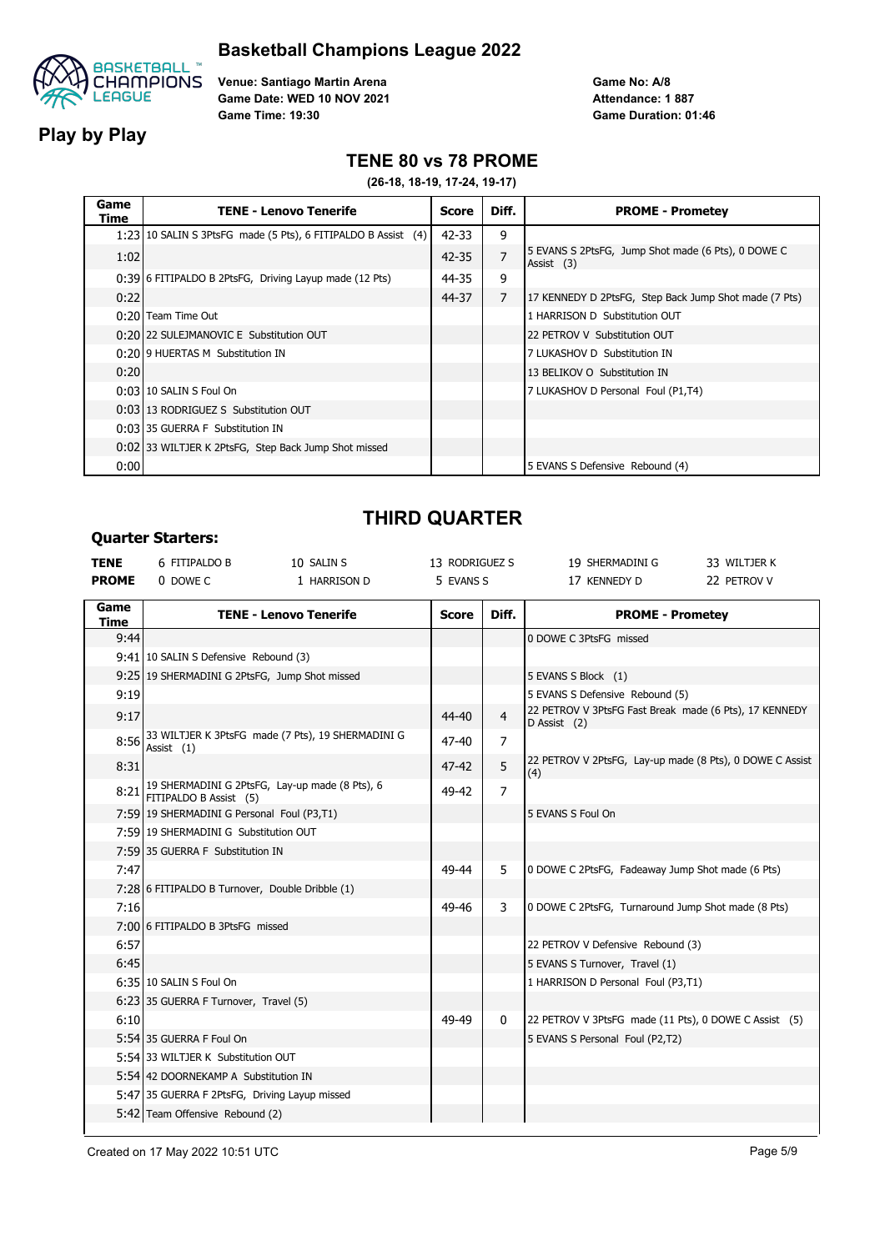

**Play by Play**

**Venue: Santiago Martin Arena Game Date: WED 10 NOV 2021 Game Time: 19:30**

**Game No: A/8 Game Duration: 01:46 Attendance: 1 887**

### **TENE 80 vs 78 PROME**

**(26-18, 18-19, 17-24, 19-17)**

| Game<br>Time | <b>TENE - Lenovo Tenerife</b>                                 | Score     | Diff.          | <b>PROME - Prometey</b>                                          |
|--------------|---------------------------------------------------------------|-----------|----------------|------------------------------------------------------------------|
|              | 1:23 10 SALIN S 3PtsFG made (5 Pts), 6 FITIPALDO B Assist (4) | $42 - 33$ | 9              |                                                                  |
| 1:02         |                                                               | $42 - 35$ | $\overline{7}$ | 5 EVANS S 2PtsFG, Jump Shot made (6 Pts), 0 DOWE C<br>Assist (3) |
|              | 0:39 6 FITIPALDO B 2PtsFG, Driving Layup made (12 Pts)        | 44-35     | 9              |                                                                  |
| 0:22         |                                                               | 44-37     | $\overline{7}$ | 17 KENNEDY D 2PtsFG, Step Back Jump Shot made (7 Pts)            |
|              | 0:20 Team Time Out                                            |           |                | 1 HARRISON D Substitution OUT                                    |
|              | 0:20122 SULEJMANOVIC E Substitution OUT                       |           |                | 22 PETROV V Substitution OUT                                     |
|              | 0:2019 HUERTAS M Substitution IN                              |           |                | 7 LUKASHOV D Substitution IN                                     |
| 0:20         |                                                               |           |                | 13 BELIKOV O Substitution IN                                     |
|              | 0:03 10 SALIN S Foul On                                       |           |                | 7 LUKASHOV D Personal Foul (P1,T4)                               |
|              | 0:03113 RODRIGUEZ S Substitution OUT                          |           |                |                                                                  |
|              | 0:03 35 GUERRA F Substitution IN                              |           |                |                                                                  |
|              | 0:02 33 WILTJER K 2PtsFG, Step Back Jump Shot missed          |           |                |                                                                  |
| 0:00         |                                                               |           |                | 5 EVANS S Defensive Rebound (4)                                  |

# **THIRD QUARTER**

#### **Quarter Starters:**

| <b>TENE</b>  | 6 FITIPALDO B                                   | 10 SALIN S                                             | 13 RODRIGUEZ S |                | 19 SHERMADINI G                                                        | 33 WILTJER K |
|--------------|-------------------------------------------------|--------------------------------------------------------|----------------|----------------|------------------------------------------------------------------------|--------------|
| <b>PROME</b> | 0 DOWE C                                        | 1 HARRISON D                                           | 5 EVANS S      |                | 17 KENNEDY D                                                           | 22 PETROV V  |
| Game<br>Time |                                                 | <b>TENE - Lenovo Tenerife</b>                          | <b>Score</b>   | Diff.          | <b>PROME - Prometey</b>                                                |              |
| 9:44         |                                                 |                                                        |                |                | 0 DOWE C 3PtsFG missed                                                 |              |
|              | 9:41 10 SALIN S Defensive Rebound (3)           |                                                        |                |                |                                                                        |              |
|              | 9:25 19 SHERMADINI G 2PtsFG, Jump Shot missed   |                                                        |                |                | 5 EVANS S Block (1)                                                    |              |
| 9:19         |                                                 |                                                        |                |                | 5 EVANS S Defensive Rebound (5)                                        |              |
| 9:17         |                                                 |                                                        | 44-40          | $\overline{4}$ | 22 PETROV V 3PtsFG Fast Break made (6 Pts), 17 KENNEDY<br>D Assist (2) |              |
|              | Assist $(1)$                                    | 8:56 33 WILTJER K 3PtsFG made (7 Pts), 19 SHERMADINI G | 47-40          | $\overline{7}$ |                                                                        |              |
| 8:31         |                                                 |                                                        | $47 - 42$      | 5              | 22 PETROV V 2PtsFG, Lay-up made (8 Pts), 0 DOWE C Assist<br>(4)        |              |
| 8:21         | FITIPALDO B Assist (5)                          | 19 SHERMADINI G 2PtsFG, Lay-up made (8 Pts), 6         | 49-42          | $\overline{7}$ |                                                                        |              |
|              | 7:59 19 SHERMADINI G Personal Foul (P3,T1)      |                                                        |                |                | 5 EVANS S Foul On                                                      |              |
|              | 7:59 19 SHERMADINI G Substitution OUT           |                                                        |                |                |                                                                        |              |
|              | 7:59 35 GUERRA F Substitution IN                |                                                        |                |                |                                                                        |              |
| 7:47         |                                                 |                                                        | 49-44          | 5              | 0 DOWE C 2PtsFG, Fadeaway Jump Shot made (6 Pts)                       |              |
|              | 7:28 6 FITIPALDO B Turnover, Double Dribble (1) |                                                        |                |                |                                                                        |              |
| 7:16         |                                                 |                                                        | 49-46          | 3              | 0 DOWE C 2PtsFG, Turnaround Jump Shot made (8 Pts)                     |              |
|              | 7:00 6 FITIPALDO B 3PtsFG missed                |                                                        |                |                |                                                                        |              |
| 6:57         |                                                 |                                                        |                |                | 22 PETROV V Defensive Rebound (3)                                      |              |
| 6:45         |                                                 |                                                        |                |                | 5 EVANS S Turnover, Travel (1)                                         |              |
|              | 6:35 10 SALIN S Foul On                         |                                                        |                |                | 1 HARRISON D Personal Foul (P3,T1)                                     |              |
|              | 6:23 35 GUERRA F Turnover, Travel (5)           |                                                        |                |                |                                                                        |              |
| 6:10         |                                                 |                                                        | 49-49          | 0              | 22 PETROV V 3PtsFG made (11 Pts), 0 DOWE C Assist (5)                  |              |
|              | 5:54 35 GUERRA F Foul On                        |                                                        |                |                | 5 EVANS S Personal Foul (P2,T2)                                        |              |
|              | 5:54 33 WILTJER K Substitution OUT              |                                                        |                |                |                                                                        |              |
|              | 5:54 42 DOORNEKAMP A Substitution IN            |                                                        |                |                |                                                                        |              |
|              | 5:47 35 GUERRA F 2PtsFG, Driving Layup missed   |                                                        |                |                |                                                                        |              |
|              | 5:42 Team Offensive Rebound (2)                 |                                                        |                |                |                                                                        |              |
|              |                                                 |                                                        |                |                |                                                                        |              |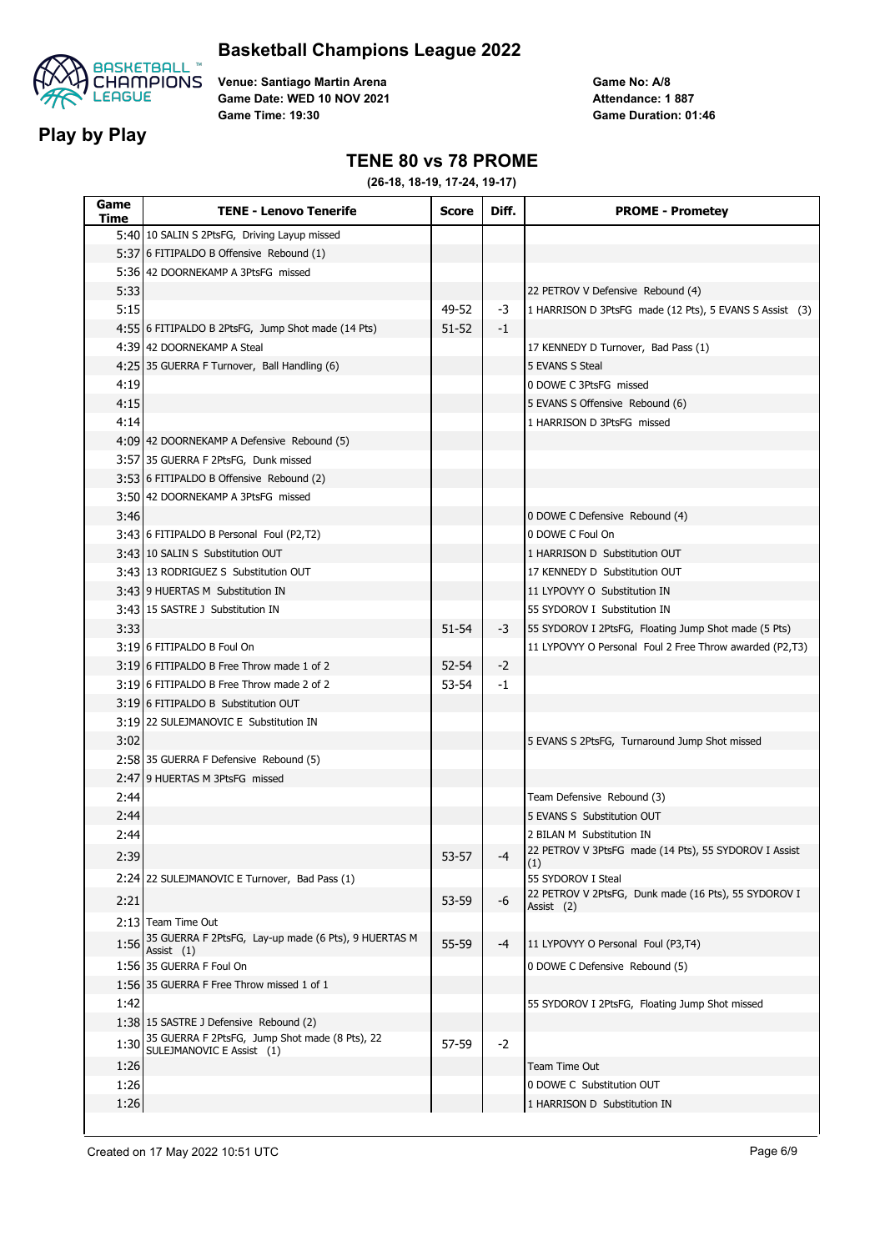

**Play by Play**

**Venue: Santiago Martin Arena Game Date: WED 10 NOV 2021 Game Time: 19:30**

**Game No: A/8 Game Duration: 01:46 Attendance: 1 887**

### **TENE 80 vs 78 PROME**

| Game<br>Time | <b>TENE - Lenovo Tenerife</b>                                        | <b>Score</b> | Diff. | <b>PROME - Prometey</b>                                 |
|--------------|----------------------------------------------------------------------|--------------|-------|---------------------------------------------------------|
|              | 5:40 10 SALIN S 2PtsFG, Driving Layup missed                         |              |       |                                                         |
|              | 5:37 6 FITIPALDO B Offensive Rebound (1)                             |              |       |                                                         |
|              | 5:36 42 DOORNEKAMP A 3PtsFG missed                                   |              |       |                                                         |
| 5:33         |                                                                      |              |       | 22 PETROV V Defensive Rebound (4)                       |
| 5:15         |                                                                      | 49-52        | -3    | 1 HARRISON D 3PtsFG made (12 Pts), 5 EVANS S Assist (3) |
|              | 4:55 6 FITIPALDO B 2PtsFG, Jump Shot made (14 Pts)                   | 51-52        | -1    |                                                         |
|              | 4:39 42 DOORNEKAMP A Steal                                           |              |       | 17 KENNEDY D Turnover, Bad Pass (1)                     |
|              | 4:25 35 GUERRA F Turnover, Ball Handling (6)                         |              |       | 5 EVANS S Steal                                         |
| 4:19         |                                                                      |              |       | 0 DOWE C 3PtsFG missed                                  |
| 4:15         |                                                                      |              |       | 5 EVANS S Offensive Rebound (6)                         |
| 4:14         |                                                                      |              |       | 1 HARRISON D 3PtsFG missed                              |
|              | 4:09 42 DOORNEKAMP A Defensive Rebound (5)                           |              |       |                                                         |
|              | 3:57 35 GUERRA F 2PtsFG, Dunk missed                                 |              |       |                                                         |
|              | 3:53 6 FITIPALDO B Offensive Rebound (2)                             |              |       |                                                         |
|              | 3:50 42 DOORNEKAMP A 3PtsFG missed                                   |              |       |                                                         |
| 3:46         |                                                                      |              |       | 0 DOWE C Defensive Rebound (4)                          |
|              | 3:43 6 FITIPALDO B Personal Foul (P2,T2)                             |              |       | 0 DOWE C Foul On                                        |
|              | 3:43 10 SALIN S Substitution OUT                                     |              |       | 1 HARRISON D Substitution OUT                           |
|              | 3:43 13 RODRIGUEZ S Substitution OUT                                 |              |       | 17 KENNEDY D Substitution OUT                           |
|              | 3:43 9 HUERTAS M Substitution IN                                     |              |       | 11 LYPOVYY O Substitution IN                            |
|              | 3:43 15 SASTRE J Substitution IN                                     |              |       | 55 SYDOROV I Substitution IN                            |
| 3:33         |                                                                      | 51-54        | -3    | 55 SYDOROV I 2PtsFG, Floating Jump Shot made (5 Pts)    |
|              | 3:19 6 FITIPALDO B Foul On                                           |              |       | 11 LYPOVYY O Personal Foul 2 Free Throw awarded (P2,T3) |
|              | 3:19 6 FITIPALDO B Free Throw made 1 of 2                            | $52 - 54$    | $-2$  |                                                         |
|              | 3:19 6 FITIPALDO B Free Throw made 2 of 2                            | 53-54        | -1    |                                                         |
|              | 3:19 6 FITIPALDO B Substitution OUT                                  |              |       |                                                         |
|              | 3:19 22 SULEJMANOVIC E Substitution IN                               |              |       |                                                         |
| 3:02         |                                                                      |              |       | 5 EVANS S 2PtsFG, Turnaround Jump Shot missed           |
|              | 2:58 35 GUERRA F Defensive Rebound (5)                               |              |       |                                                         |
|              | 2:47 9 HUERTAS M 3PtsFG missed                                       |              |       |                                                         |
| 2:44         |                                                                      |              |       | Team Defensive Rebound (3)                              |
| 2:44         |                                                                      |              |       | 5 EVANS S Substitution OUT                              |
| 2:44         |                                                                      |              |       | 2 BILAN M Substitution IN                               |
| 2:39         |                                                                      | $53 - 57$    | -4    | 22 PETROV V 3PtsFG made (14 Pts), 55 SYDOROV I Assist   |
|              | 2:24 22 SULEJMANOVIC E Turnover, Bad Pass (1)                        |              |       | (1)<br>55 SYDOROV I Steal                               |
|              |                                                                      |              |       | 22 PETROV V 2PtsFG, Dunk made (16 Pts), 55 SYDOROV I    |
| 2:21         |                                                                      | 53-59        | -6    | Assist (2)                                              |
|              | 2:13 Team Time Out                                                   |              |       |                                                         |
| 1:56         | 35 GUERRA F 2PtsFG, Lay-up made (6 Pts), 9 HUERTAS M<br>Assist $(1)$ | 55-59        | -4    | 11 LYPOVYY O Personal Foul (P3,T4)                      |
|              | 1:56 35 GUERRA F Foul On                                             |              |       | 0 DOWE C Defensive Rebound (5)                          |
|              | 1:56 35 GUERRA F Free Throw missed 1 of 1                            |              |       |                                                         |
| 1:42         |                                                                      |              |       | 55 SYDOROV I 2PtsFG, Floating Jump Shot missed          |
|              | 1:38 15 SASTRE J Defensive Rebound (2)                               |              |       |                                                         |
| 1:30         | 35 GUERRA F 2PtsFG, Jump Shot made (8 Pts), 22                       | 57-59        | $-2$  |                                                         |
|              | SULEJMANOVIC E Assist (1)                                            |              |       | Team Time Out                                           |
| 1:26<br>1:26 |                                                                      |              |       | 0 DOWE C Substitution OUT                               |
|              |                                                                      |              |       |                                                         |
| 1:26         |                                                                      |              |       | 1 HARRISON D Substitution IN                            |
|              |                                                                      |              |       |                                                         |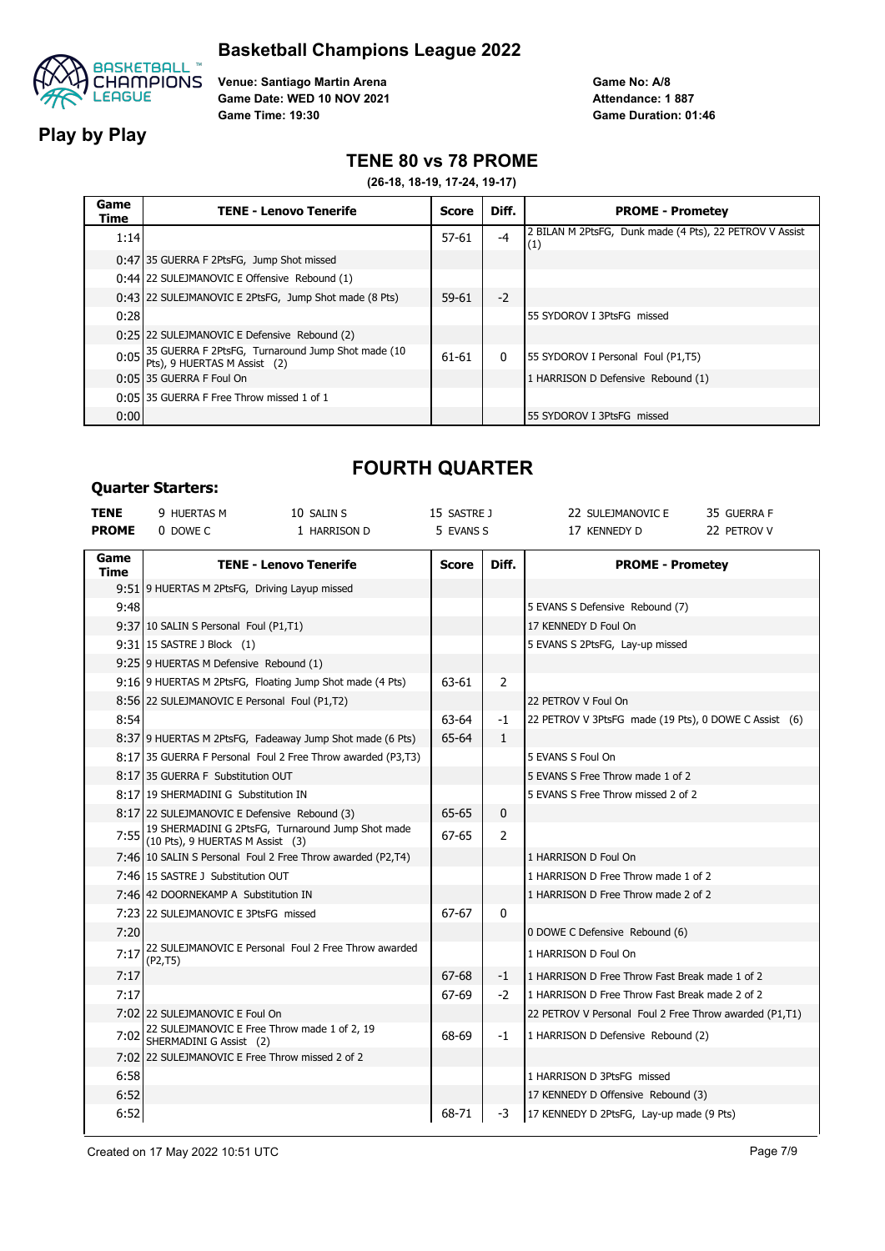

**Play by Play**

**Venue: Santiago Martin Arena Game Date: WED 10 NOV 2021 Game Time: 19:30**

**Game No: A/8 Game Duration: 01:46 Attendance: 1 887**

### **TENE 80 vs 78 PROME**

**(26-18, 18-19, 17-24, 19-17)**

| Game<br>Time | <b>TENE - Lenovo Tenerife</b>                                                          | Score     | Diff.        | <b>PROME - Prometey</b>                                        |
|--------------|----------------------------------------------------------------------------------------|-----------|--------------|----------------------------------------------------------------|
| 1:14         |                                                                                        | $57 - 61$ | $-4$         | 2 BILAN M 2PtsFG, Dunk made (4 Pts), 22 PETROV V Assist<br>(1) |
|              | 0:47 35 GUERRA F 2PtsFG, Jump Shot missed                                              |           |              |                                                                |
|              | 0:44 22 SULEJMANOVIC E Offensive Rebound (1)                                           |           |              |                                                                |
|              | 0:43 22 SULEJMANOVIC E 2PtsFG, Jump Shot made (8 Pts)                                  | $59 - 61$ | $-2$         |                                                                |
| 0:28         |                                                                                        |           |              | 55 SYDOROV I 3PtsFG missed                                     |
|              | 0:25 22 SULEJMANOVIC E Defensive Rebound (2)                                           |           |              |                                                                |
|              | 0:05 35 GUERRA F 2PtsFG, Turnaround Jump Shot made (10<br>Pts), 9 HUERTAS M Assist (2) | 61-61     | $\mathbf{0}$ | 55 SYDOROV I Personal Foul (P1,T5)                             |
|              | 0:05 35 GUERRA F Foul On                                                               |           |              | 1 HARRISON D Defensive Rebound (1)                             |
|              | 0:05 35 GUERRA F Free Throw missed 1 of 1                                              |           |              |                                                                |
| 0:00         |                                                                                        |           |              | 55 SYDOROV I 3PtsFG missed                                     |

## **Quarter Starters:**

# **FOURTH QUARTER**

| <b>TENE</b>  | 9 HUERTAS M                                                                  | 10 SALIN S                                                                                 | 15 SASTRE J  |                | 22 SULEJMANOVIC E                                      | 35 GUERRA F |
|--------------|------------------------------------------------------------------------------|--------------------------------------------------------------------------------------------|--------------|----------------|--------------------------------------------------------|-------------|
| <b>PROME</b> | 0 DOWE C                                                                     | 1 HARRISON D                                                                               | 5 EVANS S    |                | 17 KENNEDY D                                           | 22 PETROV V |
| Game         |                                                                              |                                                                                            |              |                |                                                        |             |
| Time         |                                                                              | <b>TENE - Lenovo Tenerife</b>                                                              | <b>Score</b> | Diff.          | <b>PROME - Prometey</b>                                |             |
|              | 9:51 9 HUERTAS M 2PtsFG, Driving Layup missed                                |                                                                                            |              |                |                                                        |             |
| 9:48         |                                                                              |                                                                                            |              |                | 5 EVANS S Defensive Rebound (7)                        |             |
|              | 9:37 10 SALIN S Personal Foul (P1,T1)                                        |                                                                                            |              |                | 17 KENNEDY D Foul On                                   |             |
|              | 9:31 15 SASTRE J Block (1)                                                   |                                                                                            |              |                | 5 EVANS S 2PtsFG, Lay-up missed                        |             |
|              | 9:25 9 HUERTAS M Defensive Rebound (1)                                       |                                                                                            |              |                |                                                        |             |
|              |                                                                              | 9:16 9 HUERTAS M 2PtsFG, Floating Jump Shot made (4 Pts)                                   | 63-61        | 2              |                                                        |             |
|              | 8:56 22 SULEJMANOVIC E Personal Foul (P1,T2)                                 |                                                                                            |              |                | 22 PETROV V Foul On                                    |             |
| 8:54         |                                                                              |                                                                                            | 63-64        | $-1$           | 22 PETROV V 3PtsFG made (19 Pts), 0 DOWE C Assist (6)  |             |
|              |                                                                              | 8:37 9 HUERTAS M 2PtsFG, Fadeaway Jump Shot made (6 Pts)                                   | 65-64        | $\mathbf{1}$   |                                                        |             |
|              |                                                                              | 8:17 35 GUERRA F Personal Foul 2 Free Throw awarded (P3,T3)                                |              |                | 5 EVANS S Foul On                                      |             |
|              | 8:17135 GUERRA F Substitution OUT                                            |                                                                                            |              |                | 5 EVANS S Free Throw made 1 of 2                       |             |
|              | 8:17 19 SHERMADINI G Substitution IN                                         |                                                                                            |              |                | 5 EVANS S Free Throw missed 2 of 2                     |             |
|              | 8:17 22 SULEJMANOVIC E Defensive Rebound (3)                                 |                                                                                            | 65-65        | 0              |                                                        |             |
|              |                                                                              | 7:55 19 SHERMADINI G 2PtsFG, Turnaround Jump Shot made<br>(10 Pts), 9 HUERTAS M Assist (3) | 67-65        | $\overline{2}$ |                                                        |             |
|              |                                                                              | 7:46 10 SALIN S Personal Foul 2 Free Throw awarded (P2,T4)                                 |              |                | 1 HARRISON D Foul On                                   |             |
|              | 7:46 15 SASTRE J Substitution OUT                                            |                                                                                            |              |                | 1 HARRISON D Free Throw made 1 of 2                    |             |
|              | 7:46 42 DOORNEKAMP A Substitution IN                                         |                                                                                            |              |                | 1 HARRISON D Free Throw made 2 of 2                    |             |
|              | 7:23 22 SULEJMANOVIC E 3PtsFG missed                                         |                                                                                            | 67-67        | 0              |                                                        |             |
| 7:20         |                                                                              |                                                                                            |              |                | 0 DOWE C Defensive Rebound (6)                         |             |
| 7:17         | (P2, T5)                                                                     | 22 SULEJMANOVIC E Personal Foul 2 Free Throw awarded                                       |              |                | 1 HARRISON D Foul On                                   |             |
| 7:17         |                                                                              |                                                                                            | 67-68        | $-1$           | 1 HARRISON D Free Throw Fast Break made 1 of 2         |             |
| 7:17         |                                                                              |                                                                                            | 67-69        | $-2$           | 1 HARRISON D Free Throw Fast Break made 2 of 2         |             |
|              | 7:02 22 SULEJMANOVIC E Foul On                                               |                                                                                            |              |                | 22 PETROV V Personal Foul 2 Free Throw awarded (P1,T1) |             |
|              | 7:02 22 SULEJMANOVIC E Free Throw made 1 of 2, 19<br>SHERMADINI G Assist (2) |                                                                                            | 68-69        | -1             | 1 HARRISON D Defensive Rebound (2)                     |             |
|              | 7:02 22 SULEJMANOVIC E Free Throw missed 2 of 2                              |                                                                                            |              |                |                                                        |             |
| 6:58         |                                                                              |                                                                                            |              |                | 1 HARRISON D 3PtsFG missed                             |             |
| 6:52         |                                                                              |                                                                                            |              |                | 17 KENNEDY D Offensive Rebound (3)                     |             |
| 6:52         |                                                                              |                                                                                            | 68-71        | -3             | 17 KENNEDY D 2PtsFG, Lay-up made (9 Pts)               |             |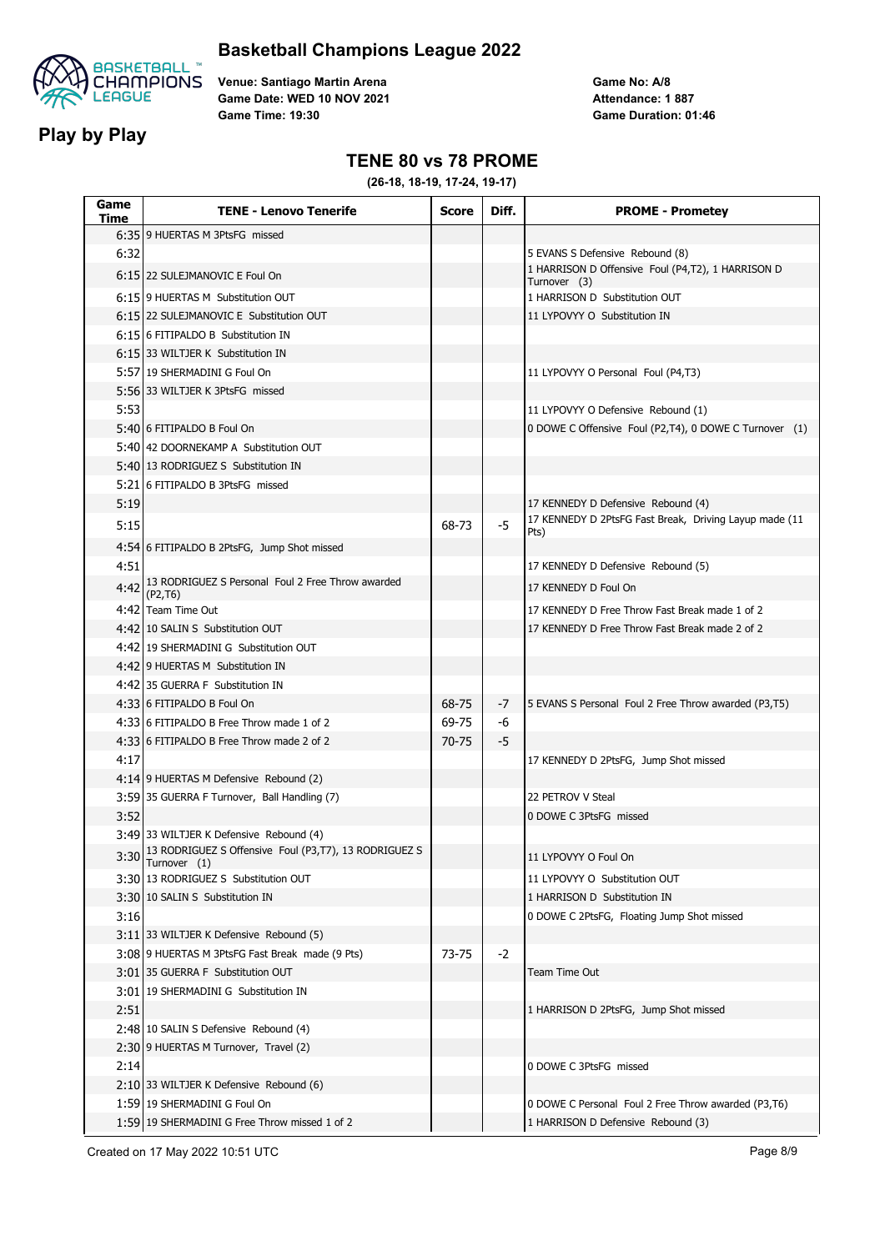

**Play by Play**

**Venue: Santiago Martin Arena Game Date: WED 10 NOV 2021 Game Time: 19:30**

**Game No: A/8 Game Duration: 01:46 Attendance: 1 887**

### **TENE 80 vs 78 PROME**

**(26-18, 18-19, 17-24, 19-17)**

| Game<br>Time | <b>TENE - Lenovo Tenerife</b>                                         | <b>Score</b> | Diff. | <b>PROME - Prometey</b>                                           |
|--------------|-----------------------------------------------------------------------|--------------|-------|-------------------------------------------------------------------|
|              | 6:35 9 HUERTAS M 3PtsFG missed                                        |              |       |                                                                   |
| 6:32         |                                                                       |              |       | 5 EVANS S Defensive Rebound (8)                                   |
|              | 6:15 22 SULEJMANOVIC E Foul On                                        |              |       | 1 HARRISON D Offensive Foul (P4,T2), 1 HARRISON D<br>Turnover (3) |
|              | 6:15 9 HUERTAS M Substitution OUT                                     |              |       | 1 HARRISON D Substitution OUT                                     |
|              | 6:15 22 SULEJMANOVIC E Substitution OUT                               |              |       | 11 LYPOVYY O Substitution IN                                      |
|              | 6:15 6 FITIPALDO B Substitution IN                                    |              |       |                                                                   |
|              | 6:15 33 WILTJER K Substitution IN                                     |              |       |                                                                   |
|              | 5:57 19 SHERMADINI G Foul On                                          |              |       | 11 LYPOVYY O Personal Foul (P4,T3)                                |
|              | 5:56 33 WILTJER K 3PtsFG missed                                       |              |       |                                                                   |
| 5:53         |                                                                       |              |       | 11 LYPOVYY O Defensive Rebound (1)                                |
|              | 5:40 6 FITIPALDO B Foul On                                            |              |       | 0 DOWE C Offensive Foul (P2,T4), 0 DOWE C Turnover (1)            |
|              | 5:40 42 DOORNEKAMP A Substitution OUT                                 |              |       |                                                                   |
|              | 5:40 13 RODRIGUEZ S Substitution IN                                   |              |       |                                                                   |
|              | 5:21 6 FITIPALDO B 3PtsFG missed                                      |              |       |                                                                   |
| 5:19         |                                                                       |              |       | 17 KENNEDY D Defensive Rebound (4)                                |
| 5:15         |                                                                       | 68-73        | $-5$  | 17 KENNEDY D 2PtsFG Fast Break, Driving Layup made (11            |
|              |                                                                       |              |       | Pts)                                                              |
| 4:51         | 4:54 6 FITIPALDO B 2PtsFG, Jump Shot missed                           |              |       |                                                                   |
|              | 4:42 13 RODRIGUEZ S Personal Foul 2 Free Throw awarded                |              |       | 17 KENNEDY D Defensive Rebound (5)                                |
|              | (P2, T6)                                                              |              |       | 17 KENNEDY D Foul On                                              |
|              | 4:42 Team Time Out                                                    |              |       | 17 KENNEDY D Free Throw Fast Break made 1 of 2                    |
|              | 4:42 10 SALIN S Substitution OUT                                      |              |       | 17 KENNEDY D Free Throw Fast Break made 2 of 2                    |
|              | 4:42 19 SHERMADINI G Substitution OUT                                 |              |       |                                                                   |
|              | 4:42 9 HUERTAS M Substitution IN                                      |              |       |                                                                   |
|              | 4:42 35 GUERRA F Substitution IN                                      |              |       |                                                                   |
|              | 4:33 6 FITIPALDO B Foul On                                            | 68-75        | -7    | 5 EVANS S Personal Foul 2 Free Throw awarded (P3,T5)              |
|              | 4:33 6 FITIPALDO B Free Throw made 1 of 2                             | 69-75        | -6    |                                                                   |
|              | 4:33 6 FITIPALDO B Free Throw made 2 of 2                             | 70-75        | -5    |                                                                   |
| 4:17         |                                                                       |              |       | 17 KENNEDY D 2PtsFG, Jump Shot missed                             |
|              | 4:14 9 HUERTAS M Defensive Rebound (2)                                |              |       |                                                                   |
|              | 3:59 35 GUERRA F Turnover, Ball Handling (7)                          |              |       | 22 PETROV V Steal                                                 |
| 3:52         |                                                                       |              |       | 0 DOWE C 3PtsFG missed                                            |
|              | 3:49 33 WILTJER K Defensive Rebound (4)                               |              |       |                                                                   |
| 3:30         | 13 RODRIGUEZ S Offensive Foul (P3,T7), 13 RODRIGUEZ S<br>Turnover (1) |              |       | 11 LYPOVYY O Foul On                                              |
|              | 3:30 13 RODRIGUEZ S Substitution OUT                                  |              |       | 11 LYPOVYY O Substitution OUT                                     |
|              | 3:30 10 SALIN S Substitution IN                                       |              |       | 1 HARRISON D Substitution IN                                      |
| 3:16         |                                                                       |              |       | 0 DOWE C 2PtsFG, Floating Jump Shot missed                        |
|              | 3:11 33 WILTJER K Defensive Rebound (5)                               |              |       |                                                                   |
|              | 3:08 9 HUERTAS M 3PtsFG Fast Break made (9 Pts)                       | 73-75        | $-2$  |                                                                   |
|              | 3:01 35 GUERRA F Substitution OUT                                     |              |       | Team Time Out                                                     |
|              | 3:01 19 SHERMADINI G Substitution IN                                  |              |       |                                                                   |
| 2:51         |                                                                       |              |       | 1 HARRISON D 2PtsFG, Jump Shot missed                             |
|              | 2:48 10 SALIN S Defensive Rebound (4)                                 |              |       |                                                                   |
|              | 2:30 9 HUERTAS M Turnover, Travel (2)                                 |              |       |                                                                   |
| 2:14         |                                                                       |              |       | 0 DOWE C 3PtsFG missed                                            |
|              | 2:10 33 WILTJER K Defensive Rebound (6)                               |              |       |                                                                   |
|              | 1:59 19 SHERMADINI G Foul On                                          |              |       | 0 DOWE C Personal Foul 2 Free Throw awarded (P3,T6)               |
|              | 1:59 19 SHERMADINI G Free Throw missed 1 of 2                         |              |       | 1 HARRISON D Defensive Rebound (3)                                |

Created on 17 May 2022 10:51 UTC **Page 8/9**